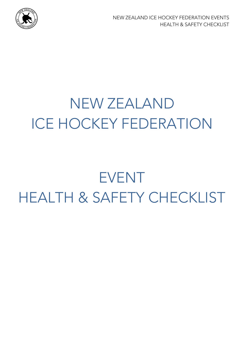



# NEW ZEALAND ICE HOCKEY FEDERATION

# EVENT HEALTH & SAFETY CHECKLIST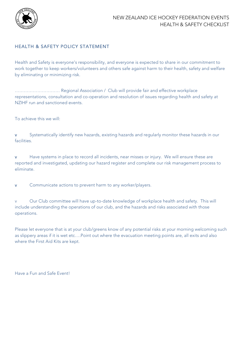

### HEALTH & SAFETY POLICY STATEMENT

Health and Safety is everyone's responsibility, and everyone is expected to share in our commitment to work together to keep workers/volunteers and others safe against harm to their health, safety and welfare by eliminating or minimizing risk.

………………………… Regional Association / Club will provide fair and effective workplace representations, consultation and co-operation and resolution of issues regarding health and safety at NZIHF run and sanctioned events.

To achieve this we will:

v Systematically identify new hazards, existing hazards and regularly monitor these hazards in our facilities.

v Have systems in place to record all incidents, near misses or injury. We will ensure these are reported and investigated, updating our hazard register and complete our risk management process to eliminate.

v Communicate actions to prevent harm to any worker/players.

v Our Club committee will have up-to-date knowledge of workplace health and safety. This will include understanding the operations of our club, and the hazards and risks associated with those operations.

Please let everyone that is at your club/greens know of any potential risks at your morning welcoming such as slippery areas if it is wet etc….Point out where the evacuation meeting points are, all exits and also where the First Aid Kits are kept.

Have a Fun and Safe Event!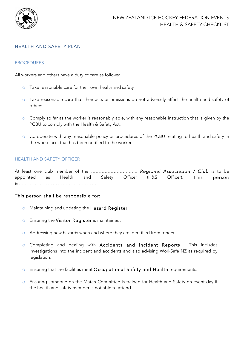

### HEALTH AND SAFETY PLAN

#### PROCEDURES

All workers and others have a duty of care as follows:

- o Take reasonable care for their own health and safety
- o Take reasonable care that their acts or omissions do not adversely affect the health and safety of others
- o Comply so far as the worker is reasonably able, with any reasonable instruction that is given by the PCBU to comply with the Health & Safety Act.
- o Co-operate with any reasonable policy or procedures of the PCBU relating to health and safety in the workplace, that has been notified to the workers.

#### HEALTH AND SAFETY OFFICER

At least one club member of the …………………………. *Regional Association / Club* is to be appointed as Health and Safety Officer (H&S Officer). This person is…………………………………………

#### This person shall be responsible for:

- o Maintaining and updating the Hazard Register.
- o Ensuring the Visitor Register is maintained.
- o Addressing new hazards when and where they are identified from others.
- o Completing and dealing with Accidents and Incident Reports. This includes investigations into the incident and accidents and also advising WorkSafe NZ as required by legislation.
- o Ensuring that the facilities meet Occupational Safety and Health requirements.
- o Ensuring someone on the Match Committee is trained for Health and Safety on event day if the health and safety member is not able to attend.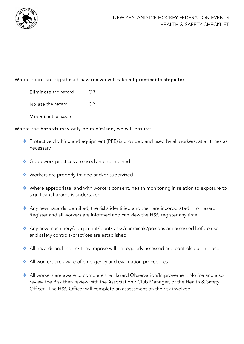

# Where there are significant hazards we will take all practicable steps to:

Eliminate the hazard OR

Isolate the hazard OR

Minimise the hazard

# Where the hazards may only be minimised, we will ensure:

- \* Protective clothing and equipment (PPE) is provided and used by all workers, at all times as necessary
- Good work practices are used and maintained
- ◆ Workers are properly trained and/or supervised
- Where appropriate, and with workers consent, health monitoring in relation to exposure to significant hazards is undertaken
- \* Any new hazards identified, the risks identified and then are incorporated into Hazard Register and all workers are informed and can view the H&S register any time
- \* Any new machinery/equipment/plant/tasks/chemicals/poisons are assessed before use, and safety controls/practices are established
- All hazards and the risk they impose will be regularly assessed and controls put in place
- All workers are aware of emergency and evacuation procedures
- \* All workers are aware to complete the Hazard Observation/Improvement Notice and also review the Risk then review with the Association / Club Manager, or the Health & Safety Officer. The H&S Officer will complete an assessment on the risk involved.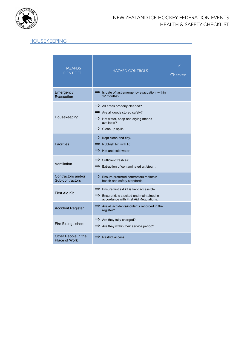

# HOUSEKEEPING

| <b>HAZARDS</b><br><b>IDENTIFIED</b>   | <b>HAZARD CONTROLS</b>                                                                                                                                                           | Checked |
|---------------------------------------|----------------------------------------------------------------------------------------------------------------------------------------------------------------------------------|---------|
| Emergency<br><b>Fyacuation</b>        | $\Rightarrow$ Is date of last emergency evacuation, within<br>12 months?                                                                                                         |         |
| Housekeeping                          | $\implies$ All areas properly cleaned?<br>$\implies$ Are all goods stored safely?<br>$\implies$ Hot water, soap and drying means<br>available?<br>$\Rightarrow$ Clean up spills. |         |
| <b>Facilities</b>                     | $\Rightarrow$ Kept clean and tidy.<br>$\Rightarrow$ Rubbish bin with lid.<br>$\Rightarrow$ Hot and cold water.                                                                   |         |
| Ventilation                           | $\Rightarrow$ Sufficient fresh air.<br>$\Rightarrow$ Extraction of contaminated air/steam.                                                                                       |         |
| Contractors and/or<br>Sub-contractors | $\implies$ Ensure preferred contractors maintain<br>health and safety standards.                                                                                                 |         |
| <b>First Aid Kit</b>                  | $\implies$ Ensure first aid kit is kept accessible.<br>$\implies$ Ensure kit is stocked and maintained in<br>accordance with First Aid Regulations.                              |         |
| <b>Accident Register</b>              | $\implies$ Are all accidents/incidents recorded in the<br>register?                                                                                                              |         |
| <b>Fire Extinguishers</b>             | $\implies$ Are they fully charged?<br>$\implies$ Are they within their service period?                                                                                           |         |
| Other People in the<br>Place of Work  | $\Rightarrow$ Restrict access.                                                                                                                                                   |         |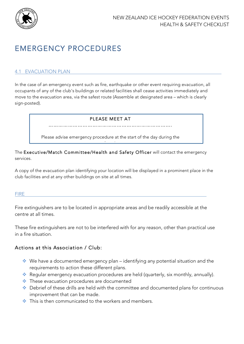

# EMERGENCY PROCEDURES

## 4.1 EVACUATION PLAN

In the case of an emergency event such as fire, earthquake or other event requiring evacuation, all occupants of any of the club's buildings or related facilities shall cease activities immediately and move to the evacuation area, via the safest route (Assemble at designated area – which is clearly sign-posted).

#### PLEASE MEET AT

………………………………………………………………….

Please advise emergency procedure at the start of the day during the welcoming. The contract of the contract of the contract of the contract of the contract of the contract of the contract of the contract of the contract of the contract of the contract of the contract of the contract of the

The Executive/Match Committee/Health and Safety Officer will contact the emergency services.

A copy of the evacuation plan identifying your location will be displayed in a prominent place in the club facilities and at any other buildings on site at all times.

#### FIRE

Fire extinguishers are to be located in appropriate areas and be readily accessible at the centre at all times.

These fire extinguishers are not to be interfered with for any reason, other than practical use in a fire situation.

# Actions at this Association / Club:

- $\clubsuit$  We have a documented emergency plan identifying any potential situation and the requirements to action these different plans.
- \* Regular emergency evacuation procedures are held (quarterly, six monthly, annually).
- $\cdot$  These evacuation procedures are documented
- **\*** Debrief of these drills are held with the committee and documented plans for continuous improvement that can be made.
- $\bullet$  This is then communicated to the workers and members.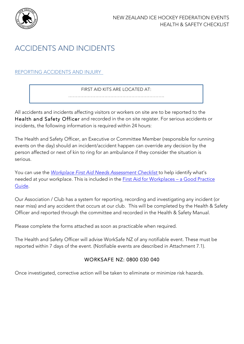

# ACCIDENTS AND INCIDENTS

REPORTING ACCIDENTS AND INJURY

FIRST AID KITS ARE LOCATED AT: ……………………………………………………….

OUR TRAINED FIRST AIDER IS

All accidents and incidents affecting visitors or workers on site are to be reported to the Health and Safety Officer and recorded in the on site register. For serious accidents or incidents, the following information is required within 24 hours:

The Health and Safety Officer, an Executive or Committee Member (responsible for running events on the day) should an incident/accident happen can override any decision by the person affected or next of kin to ring for an ambulance if they consider the situation is serious.

You can use the *Workplace First Aid Needs Assessment Checklist* to help identify what's needed at your workplace. This is included in the First Aid for Workplaces – a Good Practice Guide.

Our Association / Club has a system for reporting, recording and investigating any incident (or near miss) and any accident that occurs at our club. This will be completed by the Health & Safety Officer and reported through the committee and recorded in the Health & Safety Manual.

Please complete the forms attached as soon as practicable when required.

The Health and Safety Officer will advise WorkSafe NZ of any notifiable event. These must be reported within 7 days of the event. (Notifiable events are described in Attachment 7.1).

# WORKSAFE NZ: 0800 030 040

Once investigated, corrective action will be taken to eliminate or minimize risk hazards.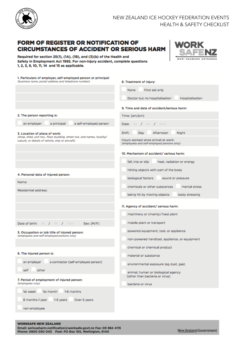

# **FORM OF REGISTER OR NOTIFICATION OF CIRCUMSTANCES OF ACCIDENT OR SERIOUS HARM**

# WOF

| Required for section 25(1), (1A), (1B), and (3)(b) of the Health and<br>Safety in Employment Act 1992. For non-injury accident, complete questions<br>1, 2, 3, 9, 10, 11, 14 and 15 as applicable. | MANI HAUMARU AOTEA                                                                |
|----------------------------------------------------------------------------------------------------------------------------------------------------------------------------------------------------|-----------------------------------------------------------------------------------|
| 1. Particulars of employer, self-employed person or principal:<br>(business name, postal address and telephone number)                                                                             | 8. Treatment of injury:                                                           |
|                                                                                                                                                                                                    | None<br>First aid only<br>Doctor but no hospitalisation<br>Hospitalisation        |
|                                                                                                                                                                                                    | 9. Time and date of accident/serious harm:                                        |
| 2. The person reporting is:                                                                                                                                                                        | Time: (am/pm)                                                                     |
| a principal<br>a self-employed person<br>an employer                                                                                                                                               | Date: DD / MM / YEAR                                                              |
| 3. Location of place of work:<br>(shop, shed, unit nos., floor, building, street nos. and names, locality/                                                                                         | Night<br>Shift:<br>Day<br>Afternoon                                               |
| suburb, or details of vehicle, ship or aircraft)                                                                                                                                                   | Hours worked since arrival at work:<br>(employees and self-employed persons only) |
|                                                                                                                                                                                                    | 10. Mechanism of accident/ serious harm:                                          |
|                                                                                                                                                                                                    | fall, trip or slip<br>heat, radiation or energy                                   |
|                                                                                                                                                                                                    | hitting objects with part of the body                                             |
| 4. Personal data of injured person:                                                                                                                                                                | biological factors<br>sound or pressure                                           |
| Name:                                                                                                                                                                                              | chemicals or other substances<br>mental stress                                    |
| Residential address:                                                                                                                                                                               | being hit by moving objects<br>body stressing                                     |
|                                                                                                                                                                                                    | 11. Agency of accident/ serious harm:                                             |
|                                                                                                                                                                                                    | machinery or (mainly) fixed plant                                                 |
| Date of birth: DD / MM / YEAR<br>Sex: (M/F)                                                                                                                                                        | mobile plant or transport                                                         |
| 5. Occupation or job title of injured person:<br>(employees and self-employed persons only)                                                                                                        | powered equipment, tool, or appliance                                             |
|                                                                                                                                                                                                    | non-powered handtool, appliance, or equipment                                     |
| 6. The injured person is:                                                                                                                                                                          | chemical or chemical product                                                      |
| an employer<br>a contractor (self-employed person)                                                                                                                                                 | material or substance<br>environmental exposure (eg dust, gas)                    |
| self<br>other                                                                                                                                                                                      | animal, human or biological agency                                                |
| 7. Period of employment of injured person:                                                                                                                                                         | (other than bacteria or virus)                                                    |
| (employees only)                                                                                                                                                                                   | bacteria or virus                                                                 |
| 1st month<br>1st week<br>1-6 months                                                                                                                                                                |                                                                                   |
| 6 months-1 year<br>1-5 years<br>Over 5 years                                                                                                                                                       |                                                                                   |
| non-employee                                                                                                                                                                                       |                                                                                   |

#### **WORKSAFE NEW ZEALAND**

Email: seriousharm.notification@worksafe.govt.nz Fax: 09 984 4115 Phone: 0800 030 040 Post: PO Box 165, Wellington, 6140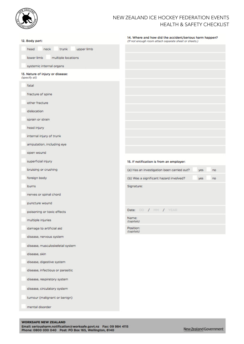

| 12. Body part:                                    | 14. Where and how did the accident/serious harm happen?<br>(If not enough room attach separate sheet or sheets.) |  |  |
|---------------------------------------------------|------------------------------------------------------------------------------------------------------------------|--|--|
| head<br>neck<br>trunk<br>upper limb               |                                                                                                                  |  |  |
| lower limb<br>multiple locations                  |                                                                                                                  |  |  |
| systemic internal organs                          |                                                                                                                  |  |  |
| 13. Nature of injury or disease:<br>(specify all) |                                                                                                                  |  |  |
| fatal                                             |                                                                                                                  |  |  |
| fracture of spine                                 |                                                                                                                  |  |  |
| other fracture                                    |                                                                                                                  |  |  |
| dislocation                                       |                                                                                                                  |  |  |
| sprain or strain                                  |                                                                                                                  |  |  |
| head injury                                       |                                                                                                                  |  |  |
| internal injury of trunk                          |                                                                                                                  |  |  |
| amputation, including eye                         |                                                                                                                  |  |  |
| open wound                                        |                                                                                                                  |  |  |
| superficial injury                                | 15. If notification is from an employer:                                                                         |  |  |
| bruising or crushing                              | (a) Has an investigation been carried out?<br>no<br>yes                                                          |  |  |
| foreign body                                      | (b) Was a significant hazard involved?<br>yes<br>no                                                              |  |  |
| burns                                             | Signature:                                                                                                       |  |  |
| nerves or spinal chord                            |                                                                                                                  |  |  |
| puncture wound                                    |                                                                                                                  |  |  |
| poisoning or toxic effects                        | Date: DD / MM / YEAR                                                                                             |  |  |
| multiple injuries                                 | Name:<br>(capitals)                                                                                              |  |  |
| damage to artificial aid                          | Position:<br>(capitals)                                                                                          |  |  |
| disease, nervous system                           |                                                                                                                  |  |  |
| disease, musculoskeletal system                   |                                                                                                                  |  |  |
| disease, skin                                     |                                                                                                                  |  |  |
| disease, digestive system                         |                                                                                                                  |  |  |
| disease, infectious or parasitic                  |                                                                                                                  |  |  |
| disease, respiratory system                       |                                                                                                                  |  |  |
| disease, circulatory system                       |                                                                                                                  |  |  |
| tumour (malignant or benign)                      |                                                                                                                  |  |  |

mental disorder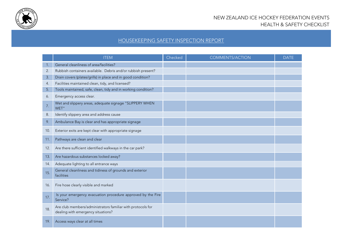

# HOUSEKEEPING SAFETY INSPECTION REPORT

|     | <b>ITEM</b>                                                                                       | Checked | <b>COMMENTS/ACTION</b> | <b>DATE</b> |
|-----|---------------------------------------------------------------------------------------------------|---------|------------------------|-------------|
| 1.  | General cleanliness of area/facilities?                                                           |         |                        |             |
| 2.  | Rubbish containers available. Debris and/or rubbish present?                                      |         |                        |             |
| 3.  | Drain covers (plates/grills) in place and in good condition?                                      |         |                        |             |
| 4.  | Facilities maintained clean, tidy, and licensed?                                                  |         |                        |             |
| 5.  | Tools maintained, safe, clean, tidy and in working condition?                                     |         |                        |             |
| 6.  | Emergency access clear.                                                                           |         |                        |             |
| 7.  | Wet and slippery areas, adequate signage "SLIPPERY WHEN<br>WET"                                   |         |                        |             |
| 8.  | Identify slippery area and address cause                                                          |         |                        |             |
| 9.  | Ambulance Bay is clear and has appropriate signage                                                |         |                        |             |
| 10. | Exterior exits are kept clear with appropriate signage                                            |         |                        |             |
| 11. | Pathways are clean and clear                                                                      |         |                        |             |
| 12. | Are there sufficient identified walkways in the car park?                                         |         |                        |             |
| 13. | Are hazardous substances locked away?                                                             |         |                        |             |
| 14. | Adequate lighting to all entrance ways                                                            |         |                        |             |
| 15. | General cleanliness and tidiness of grounds and exterior<br>facilities                            |         |                        |             |
| 16. | Fire hose clearly visible and marked                                                              |         |                        |             |
| 17. | Is your emergency evacuation procedure approved by the Fire<br>Service?                           |         |                        |             |
| 18. | Are club members/administrators familiar with protocols for<br>dealing with emergency situations? |         |                        |             |
| 19. | Access ways clear at all times                                                                    |         |                        |             |